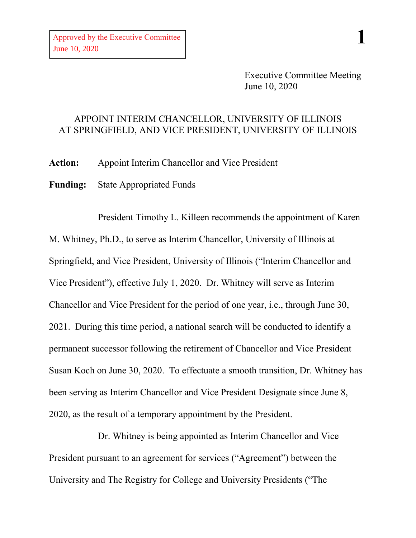Executive Committee Meeting June 10, 2020

## APPOINT INTERIM CHANCELLOR, UNIVERSITY OF ILLINOIS AT SPRINGFIELD, AND VICE PRESIDENT, UNIVERSITY OF ILLINOIS

**Action:** Appoint Interim Chancellor and Vice President

**Funding:** State Appropriated Funds

President Timothy L. Killeen recommends the appointment of Karen M. Whitney, Ph.D., to serve as Interim Chancellor, University of Illinois at Springfield, and Vice President, University of Illinois ("Interim Chancellor and Vice President"), effective July 1, 2020. Dr. Whitney will serve as Interim Chancellor and Vice President for the period of one year, i.e., through June 30, 2021. During this time period, a national search will be conducted to identify a permanent successor following the retirement of Chancellor and Vice President Susan Koch on June 30, 2020. To effectuate a smooth transition, Dr. Whitney has been serving as Interim Chancellor and Vice President Designate since June 8, 2020, as the result of a temporary appointment by the President.

Dr. Whitney is being appointed as Interim Chancellor and Vice President pursuant to an agreement for services ("Agreement") between the University and The Registry for College and University Presidents ("The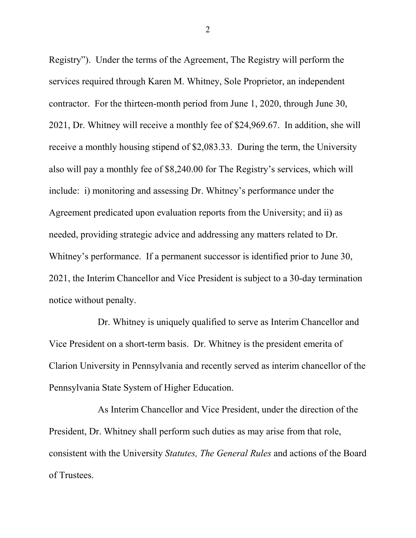Registry"). Under the terms of the Agreement, The Registry will perform the services required through Karen M. Whitney, Sole Proprietor, an independent contractor. For the thirteen-month period from June 1, 2020, through June 30, 2021, Dr. Whitney will receive a monthly fee of \$24,969.67. In addition, she will receive a monthly housing stipend of \$2,083.33. During the term, the University also will pay a monthly fee of \$8,240.00 for The Registry's services, which will include: i) monitoring and assessing Dr. Whitney's performance under the Agreement predicated upon evaluation reports from the University; and ii) as needed, providing strategic advice and addressing any matters related to Dr. Whitney's performance. If a permanent successor is identified prior to June 30, 2021, the Interim Chancellor and Vice President is subject to a 30-day termination notice without penalty.

Dr. Whitney is uniquely qualified to serve as Interim Chancellor and Vice President on a short-term basis. Dr. Whitney is the president emerita of Clarion University in Pennsylvania and recently served as interim chancellor of the Pennsylvania State System of Higher Education.

As Interim Chancellor and Vice President, under the direction of the President, Dr. Whitney shall perform such duties as may arise from that role, consistent with the University *Statutes, The General Rules* and actions of the Board of Trustees.

2